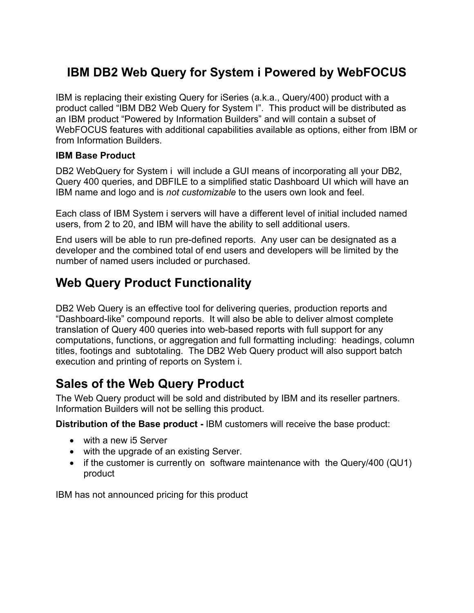## **IBM DB2 Web Query for System i Powered by WebFOCUS**

IBM is replacing their existing Query for iSeries (a.k.a., Query/400) product with a product called "IBM DB2 Web Query for System I". This product will be distributed as an IBM product "Powered by Information Builders" and will contain a subset of WebFOCUS features with additional capabilities available as options, either from IBM or from Information Builders.

#### **IBM Base Product**

DB2 WebQuery for System i will include a GUI means of incorporating all your DB2, Query 400 queries, and DBFILE to a simplified static Dashboard UI which will have an IBM name and logo and is *not customizable* to the users own look and feel.

Each class of IBM System i servers will have a different level of initial included named users, from 2 to 20, and IBM will have the ability to sell additional users.

End users will be able to run pre-defined reports. Any user can be designated as a developer and the combined total of end users and developers will be limited by the number of named users included or purchased.

## **Web Query Product Functionality**

DB2 Web Query is an effective tool for delivering queries, production reports and "Dashboard-like" compound reports. It will also be able to deliver almost complete translation of Query 400 queries into web-based reports with full support for any computations, functions, or aggregation and full formatting including: headings, column titles, footings and subtotaling. The DB2 Web Query product will also support batch execution and printing of reports on System i.

### **Sales of the Web Query Product**

The Web Query product will be sold and distributed by IBM and its reseller partners. Information Builders will not be selling this product.

**Distribution of the Base product -** IBM customers will receive the base product:

- with a new i5 Server
- with the upgrade of an existing Server.
- if the customer is currently on software maintenance with the Query/400 (QU1) product

IBM has not announced pricing for this product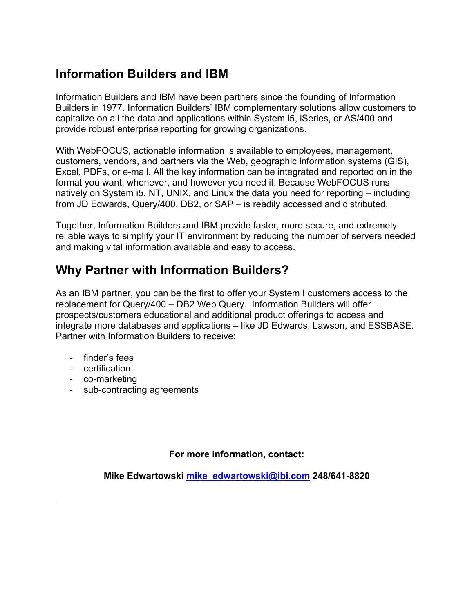## **Information Builders and IBM**

Information Builders and IBM have been partners since the founding of Information Builders in 1977. Information Builders' IBM complementary solutions allow customers to capitalize on all the data and applications within System i5, iSeries, or AS/400 and provide robust enterprise reporting for growing organizations.

With WebFOCUS, actionable information is available to employees, management, customers, vendors, and partners via the Web, geographic information systems (GIS), Excel, PDFs, or e-mail. All the key information can be integrated and reported on in the format you want, whenever, and however you need it. Because WebFOCUS runs natively on System i5, NT, UNIX, and Linux the data you need for reporting – including from JD Edwards, Query/400, DB2, or SAP – is readily accessed and distributed.

Together, Information Builders and IBM provide faster, more secure, and extremely reliable ways to simplify your IT environment by reducing the number of servers needed and making vital information available and easy to access.

## **Why Partner with Information Builders?**

As an IBM partner, you can be the first to offer your System I customers access to the replacement for Query/400 – DB2 Web Query. Information Builders will offer prospects/customers educational and additional product offerings to access and integrate more databases and applications – like JD Edwards, Lawson, and ESSBASE. Partner with Information Builders to receive:

- finder's fees
- certification
- co-marketing
- sub-contracting agreements

#### **For more information, contact:**

**Mike Edwartowski mike\_edwartowski@ibi.com 248/641-8820**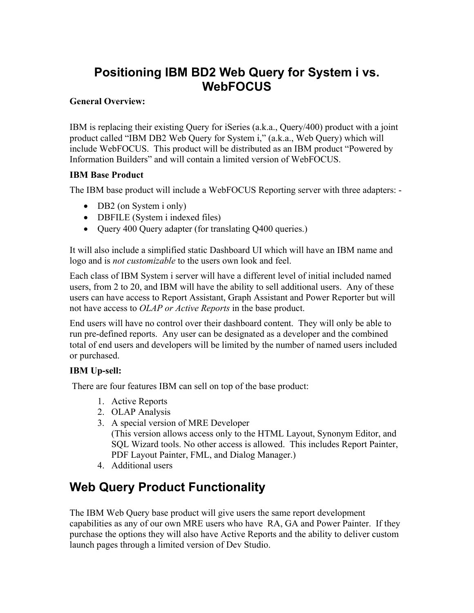### **Positioning IBM BD2 Web Query for System i vs. WebFOCUS**

#### **General Overview:**

IBM is replacing their existing Query for iSeries (a.k.a., Query/400) product with a joint product called "IBM DB2 Web Query for System i," (a.k.a., Web Query) which will include WebFOCUS. This product will be distributed as an IBM product "Powered by Information Builders" and will contain a limited version of WebFOCUS.

#### **IBM Base Product**

The IBM base product will include a WebFOCUS Reporting server with three adapters: -

- DB2 (on System i only)
- DBFILE (System i indexed files)
- Ouery 400 Ouery adapter (for translating O400 queries.)

It will also include a simplified static Dashboard UI which will have an IBM name and logo and is *not customizable* to the users own look and feel.

Each class of IBM System i server will have a different level of initial included named users, from 2 to 20, and IBM will have the ability to sell additional users. Any of these users can have access to Report Assistant, Graph Assistant and Power Reporter but will not have access to *OLAP or Active Reports* in the base product.

End users will have no control over their dashboard content. They will only be able to run pre-defined reports. Any user can be designated as a developer and the combined total of end users and developers will be limited by the number of named users included or purchased.

#### **IBM Up-sell:**

There are four features IBM can sell on top of the base product:

- 1. Active Reports
- 2. OLAP Analysis
- 3. A special version of MRE Developer (This version allows access only to the HTML Layout, Synonym Editor, and SQL Wizard tools. No other access is allowed. This includes Report Painter, PDF Layout Painter, FML, and Dialog Manager.)
- 4. Additional users

# **Web Query Product Functionality**

The IBM Web Query base product will give users the same report development capabilities as any of our own MRE users who have RA, GA and Power Painter. If they purchase the options they will also have Active Reports and the ability to deliver custom launch pages through a limited version of Dev Studio.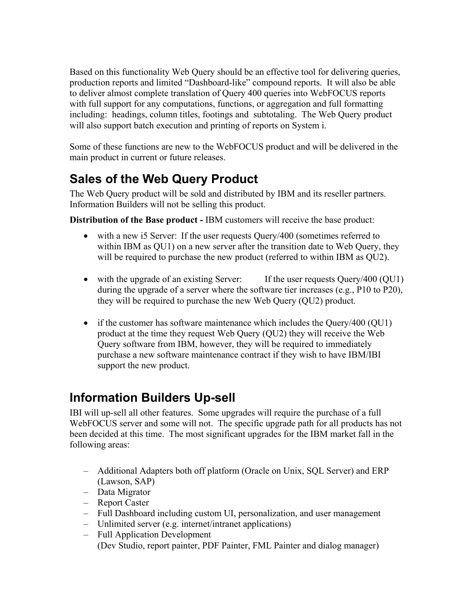Based on this functionality Web Query should be an effective tool for delivering queries, production reports and limited "Dashboard-like" compound reports. It will also be able to deliver almost complete translation of Query 400 queries into WebFOCUS reports with full support for any computations, functions, or aggregation and full formatting including: headings, column titles, footings and subtotaling. The Web Query product will also support batch execution and printing of reports on System i.

Some of these functions are new to the WebFOCUS product and will be delivered in the main product in current or future releases.

# **Sales of the Web Query Product**

The Web Query product will be sold and distributed by IBM and its reseller partners. Information Builders will not be selling this product.

**Distribution of the Base product -** IBM customers will receive the base product:

- with a new i5 Server: If the user requests Query/400 (sometimes referred to within IBM as QU1) on a new server after the transition date to Web Query, they will be required to purchase the new product (referred to within IBM as OU2).
- with the upgrade of an existing Server: If the user requests Query/400 (QU1) during the upgrade of a server where the software tier increases (e.g., P10 to P20), they will be required to purchase the new Web Query (QU2) product.
- if the customer has software maintenance which includes the Query/400 (QU1) product at the time they request Web Query (QU2) they will receive the Web Query software from IBM, however, they will be required to immediately purchase a new software maintenance contract if they wish to have IBM/IBI support the new product.

## **Information Builders Up-sell**

IBI will up-sell all other features. Some upgrades will require the purchase of a full WebFOCUS server and some will not. The specific upgrade path for all products has not been decided at this time. The most significant upgrades for the IBM market fall in the following areas:

- Additional Adapters both off platform (Oracle on Unix, SQL Server) and ERP (Lawson, SAP)
- Data Migrator
- Report Caster
- Full Dashboard including custom UI, personalization, and user management
- Unlimited server (e.g. internet/intranet applications)
- Full Application Development (Dev Studio, report painter, PDF Painter, FML Painter and dialog manager)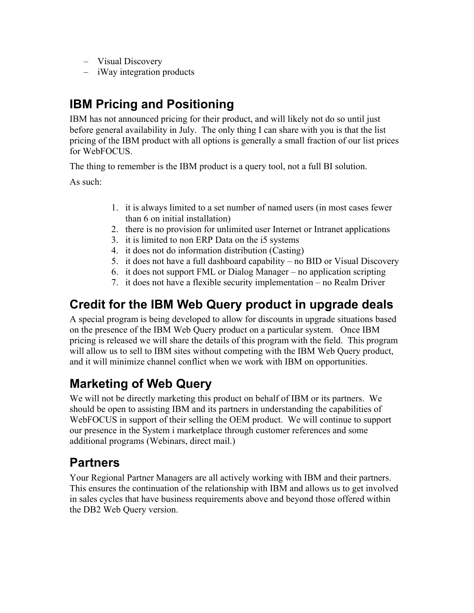- Visual Discovery
- iWay integration products

## **IBM Pricing and Positioning**

IBM has not announced pricing for their product, and will likely not do so until just before general availability in July. The only thing I can share with you is that the list pricing of the IBM product with all options is generally a small fraction of our list prices for WebFOCUS.

The thing to remember is the IBM product is a query tool, not a full BI solution.

As such:

- 1. it is always limited to a set number of named users (in most cases fewer than 6 on initial installation)
- 2. there is no provision for unlimited user Internet or Intranet applications
- 3. it is limited to non ERP Data on the i5 systems
- 4. it does not do information distribution (Casting)
- 5. it does not have a full dashboard capability no BID or Visual Discovery
- 6. it does not support FML or Dialog Manager no application scripting
- 7. it does not have a flexible security implementation no Realm Driver

## **Credit for the IBM Web Query product in upgrade deals**

A special program is being developed to allow for discounts in upgrade situations based on the presence of the IBM Web Query product on a particular system. Once IBM pricing is released we will share the details of this program with the field. This program will allow us to sell to IBM sites without competing with the IBM Web Query product, and it will minimize channel conflict when we work with IBM on opportunities.

# **Marketing of Web Query**

We will not be directly marketing this product on behalf of IBM or its partners. We should be open to assisting IBM and its partners in understanding the capabilities of WebFOCUS in support of their selling the OEM product. We will continue to support our presence in the System i marketplace through customer references and some additional programs (Webinars, direct mail.)

### **Partners**

Your Regional Partner Managers are all actively working with IBM and their partners. This ensures the continuation of the relationship with IBM and allows us to get involved in sales cycles that have business requirements above and beyond those offered within the DB2 Web Query version.